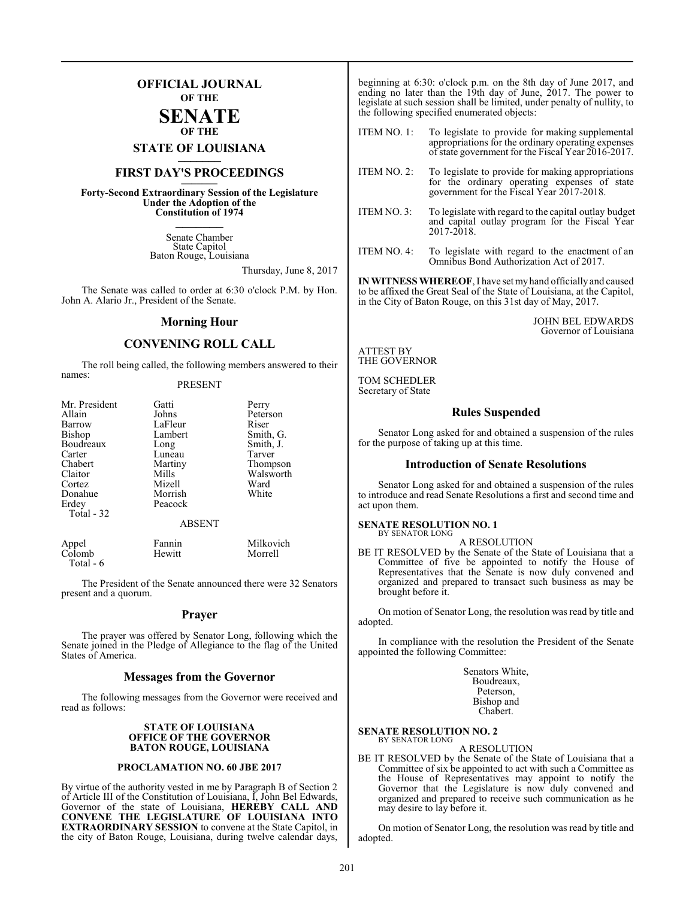### **OFFICIAL JOURNAL OF THE**

### **SENATE OF THE**

# **STATE OF LOUISIANA \_\_\_\_\_\_\_**

## **FIRST DAY'S PROCEEDINGS \_\_\_\_\_\_\_**

**Forty-Second Extraordinary Session of the Legislature Under the Adoption of the Constitution of 1974 \_\_\_\_\_\_\_**

> Senate Chamber State Capitol Baton Rouge, Louisiana

> > Thursday, June 8, 2017

The Senate was called to order at 6:30 o'clock P.M. by Hon. John A. Alario Jr., President of the Senate.

#### **Morning Hour**

#### **CONVENING ROLL CALL**

The roll being called, the following members answered to their names:

#### PRESENT

| Mr. President | Gatti         | Perry     |
|---------------|---------------|-----------|
| Allain        | Johns         | Peterson  |
| Barrow        | LaFleur       | Riser     |
| <b>Bishop</b> | Lambert       | Smith, G. |
| Boudreaux     | Long          | Smith, J. |
| Carter        | Luneau        | Tarver    |
| Chabert       | Martiny       | Thompson  |
| Claitor       | Mills         | Walsworth |
| Cortez        | Mizell        | Ward      |
| Donahue       | Morrish       | White     |
| Erdey         | Peacock       |           |
| Total - 32    |               |           |
|               | <b>ABSENT</b> |           |
| Appel         | Fannin        | Milkovich |
| Colomb        | Hewitt        | Morrell   |

The President of the Senate announced there were 32 Senators present and a quorum.

Total - 6

#### **Prayer**

The prayer was offered by Senator Long, following which the Senate joined in the Pledge of Allegiance to the flag of the United States of America.

#### **Messages from the Governor**

The following messages from the Governor were received and read as follows:

#### **STATE OF LOUISIANA OFFICE OF THE GOVERNOR BATON ROUGE, LOUISIANA**

#### **PROCLAMATION NO. 60 JBE 2017**

By virtue of the authority vested in me by Paragraph B of Section 2 of Article III of the Constitution of Louisiana, I, John Bel Edwards, Governor of the state of Louisiana, **HEREBY CALL AND CONVENE THE LEGISLATURE OF LOUISIANA INTO EXTRAORDINARY SESSION** to convene at the State Capitol, in the city of Baton Rouge, Louisiana, during twelve calendar days,

beginning at 6:30: o'clock p.m. on the 8th day of June 2017, and ending no later than the 19th day of June, 2017. The power to legislate at such session shall be limited, under penalty of nullity, to the following specified enumerated objects:

ITEM NO. 1: To legislate to provide for making supplemental appropriations for the ordinary operating expenses ofstate government for the Fiscal Year 2016-2017.

- ITEM NO. 2: To legislate to provide for making appropriations for the ordinary operating expenses of state government for the Fiscal Year 2017-2018.
- ITEM NO. 3: To legislate with regard to the capital outlay budget and capital outlay program for the Fiscal Year 2017-2018.
- ITEM NO. 4: To legislate with regard to the enactment of an Omnibus Bond Authorization Act of 2017.

**IN WITNESS WHEREOF**, I have set myhand officially and caused to be affixed the Great Seal of the State of Louisiana, at the Capitol, in the City of Baton Rouge, on this 31st day of May, 2017.

> JOHN BEL EDWARDS Governor of Louisiana

#### ATTEST BY THE GOVERNOR

TOM SCHEDLER Secretary of State

#### **Rules Suspended**

Senator Long asked for and obtained a suspension of the rules for the purpose of taking up at this time.

#### **Introduction of Senate Resolutions**

Senator Long asked for and obtained a suspension of the rules to introduce and read Senate Resolutions a first and second time and act upon them.

#### **SENATE RESOLUTION NO. 1** BY SENATOR LONG

A RESOLUTION

BE IT RESOLVED by the Senate of the State of Louisiana that a Committee of five be appointed to notify the House of Representatives that the Senate is now duly convened and organized and prepared to transact such business as may be brought before it.

On motion of Senator Long, the resolution was read by title and adopted.

In compliance with the resolution the President of the Senate appointed the following Committee:

> Senators White, Boudreaux, Peterson, Bishop and Chabert.

#### **SENATE RESOLUTION NO. 2** BY SENATOR LONG

A RESOLUTION

BE IT RESOLVED by the Senate of the State of Louisiana that a Committee of six be appointed to act with such a Committee as the House of Representatives may appoint to notify the Governor that the Legislature is now duly convened and organized and prepared to receive such communication as he may desire to lay before it.

On motion of Senator Long, the resolution was read by title and adopted.